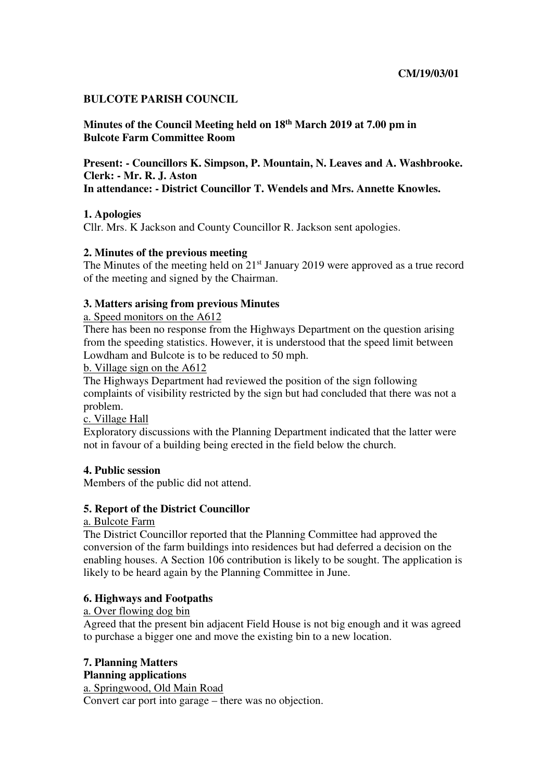### **BULCOTE PARISH COUNCIL**

**Minutes of the Council Meeting held on 18th March 2019 at 7.00 pm in Bulcote Farm Committee Room** 

**Present: - Councillors K. Simpson, P. Mountain, N. Leaves and A. Washbrooke. Clerk: - Mr. R. J. Aston In attendance: - District Councillor T. Wendels and Mrs. Annette Knowles.** 

## **1. Apologies**

Cllr. Mrs. K Jackson and County Councillor R. Jackson sent apologies.

## **2. Minutes of the previous meeting**

The Minutes of the meeting held on 21<sup>st</sup> January 2019 were approved as a true record of the meeting and signed by the Chairman.

## **3. Matters arising from previous Minutes**

### a. Speed monitors on the A612

There has been no response from the Highways Department on the question arising from the speeding statistics. However, it is understood that the speed limit between Lowdham and Bulcote is to be reduced to 50 mph.

b. Village sign on the A612

The Highways Department had reviewed the position of the sign following complaints of visibility restricted by the sign but had concluded that there was not a problem.

c. Village Hall

Exploratory discussions with the Planning Department indicated that the latter were not in favour of a building being erected in the field below the church.

# **4. Public session**

Members of the public did not attend.

### **5. Report of the District Councillor**

a. Bulcote Farm

The District Councillor reported that the Planning Committee had approved the conversion of the farm buildings into residences but had deferred a decision on the enabling houses. A Section 106 contribution is likely to be sought. The application is likely to be heard again by the Planning Committee in June.

### **6. Highways and Footpaths**

### a. Over flowing dog bin

Agreed that the present bin adjacent Field House is not big enough and it was agreed to purchase a bigger one and move the existing bin to a new location.

### **7. Planning Matters Planning applications**

a. Springwood, Old Main Road Convert car port into garage – there was no objection.